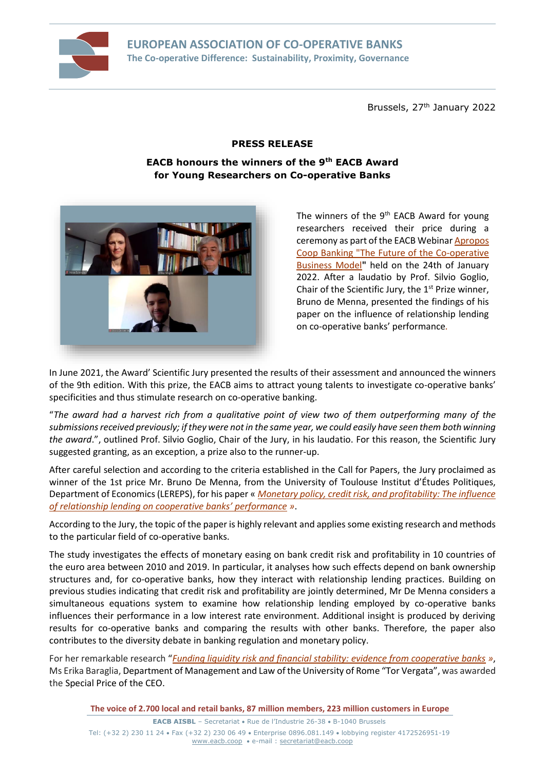

Brussels, 27<sup>th</sup> January 2022

## **PRESS RELEASE**

**EACB honours the winners of the 9th EACB Award for Young Researchers on Co-operative Banks**



The winners of the  $9<sup>th</sup>$  EACB Award for young researchers received their price during a ceremony as part of the EACB Webina[r Apropos](http://www.eacb.coop/en/events/eacb-events/the-future-of-co-operative-business-model.html)  [Coop Banking "The Future of the Co-operative](http://www.eacb.coop/en/events/eacb-events/the-future-of-co-operative-business-model.html)  [Business Model](http://www.eacb.coop/en/events/eacb-events/the-future-of-co-operative-business-model.html)**"** held on the 24th of January 2022. After a laudatio by Prof. Silvio Goglio, Chair of the Scientific Jury, the  $1<sup>st</sup>$  Prize winner, Bruno de Menna, presented the findings of his paper on the influence of relationship lending on co-operative banks' performance*.*

In June 2021, the Award' Scientific Jury presented the results of their assessment and announced the winners of the 9th edition. With this prize, the EACB aims to attract young talents to investigate co-operative banks' specificities and thus stimulate research on co-operative banking.

"*The award had a harvest rich from a qualitative point of view two of them outperforming many of the submissions received previously; if they were not in the same year, we could easily have seen them both winning the award*.", outlined Prof. Silvio Goglio, Chair of the Jury, in his laudatio. For this reason, the Scientific Jury suggested granting, as an exception, a prize also to the runner-up.

After careful selection and according to the criteria established in the Call for Papers, the Jury proclaimed as winner of the 1st price Mr. Bruno De Menna, from the University of Toulouse Institut d'Études Politiques, Department of Economics (LEREPS), for his paper « *[Monetary policy, credit risk, and profitability: The influence](http://www.eacb.coop/en/external-studies/studies/monetary-policy-credit-risk-and-profitability-the-influence-of-relationship-lending-on-cooperative-banks-performance-demenna.html)  [of relationship lending on cooperative banks' performance](http://www.eacb.coop/en/external-studies/studies/monetary-policy-credit-risk-and-profitability-the-influence-of-relationship-lending-on-cooperative-banks-performance-demenna.html) »*.

According to the Jury, the topic of the paper is highly relevant and applies some existing research and methods to the particular field of co-operative banks.

The study investigates the effects of monetary easing on bank credit risk and profitability in 10 countries of the euro area between 2010 and 2019. In particular, it analyses how such effects depend on bank ownership structures and, for co-operative banks, how they interact with relationship lending practices. Building on previous studies indicating that credit risk and profitability are jointly determined, Mr De Menna considers a simultaneous equations system to examine how relationship lending employed by co-operative banks influences their performance in a low interest rate environment. Additional insight is produced by deriving results for co-operative banks and comparing the results with other banks. Therefore, the paper also contributes to the diversity debate in banking regulation and monetary policy.

For her remarkable research "*[Funding liquidity risk and financial stability: evidence from cooperative banks](http://www.eacb.coop/en/external-studies/studies/funding-liquidity-risk-and-financial-stability-evidence-from-cooperative-banks-bragaglia.html) »*, Ms Erika Baraglia, Department of Management and Law of the University of Rome "Tor Vergata", was awarded the Special Price of the CEO.

**The voice of 2.700 local and retail banks, 87 million members, 223 million customers in Europe**